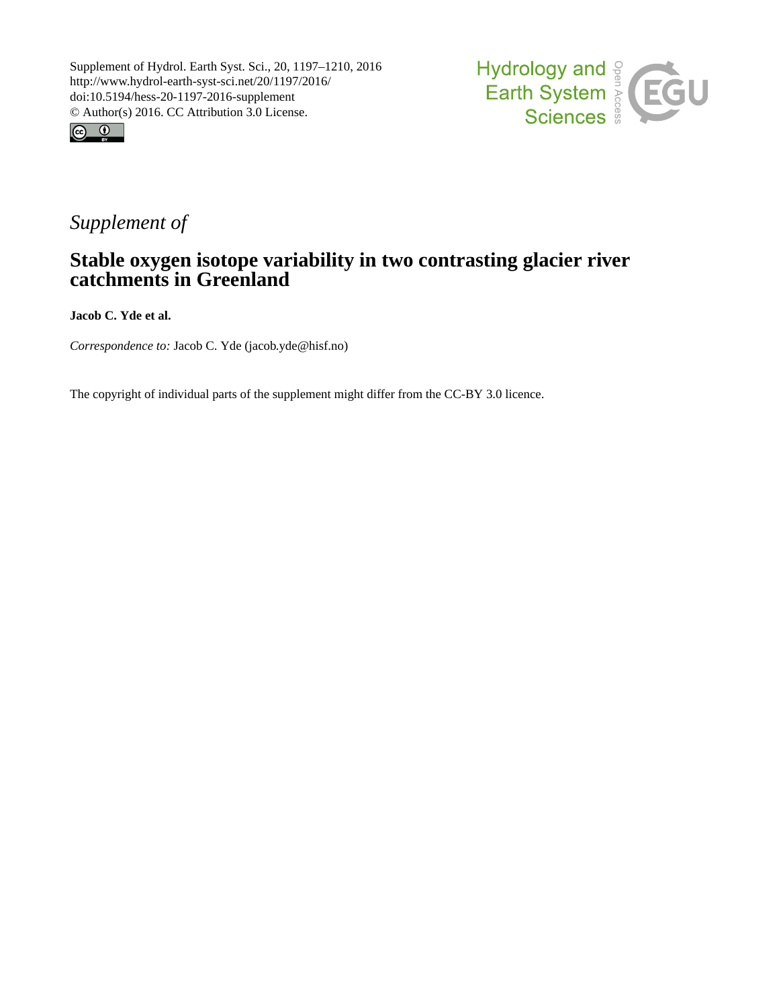



## *Supplement of*

## **Stable oxygen isotope variability in two contrasting glacier river catchments in Greenland**

**Jacob C. Yde et al.**

*Correspondence to:* Jacob C. Yde (jacob.yde@hisf.no)

The copyright of individual parts of the supplement might differ from the CC-BY 3.0 licence.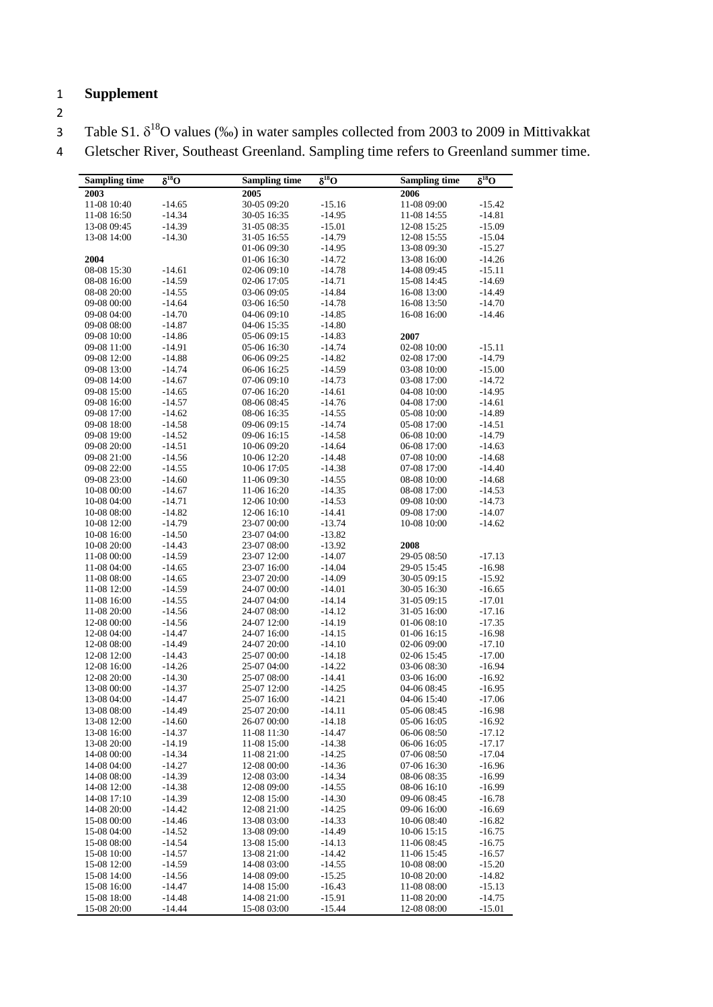## 1 **Supplement**

2

3 Table S1.  $\delta^{18}O$  values (‰) in water samples collected from 2003 to 2009 in Mittivakkat

4 Gletscher River, Southeast Greenland. Sampling time refers to Greenland summer time.

| <b>Sampling time</b>       | $\overline{\delta^{18}O}$ | <b>Sampling time</b>       | $\overline{\delta^{18}O}$ | <b>Sampling time</b>       | $\overline{\delta^{18}O}$ |
|----------------------------|---------------------------|----------------------------|---------------------------|----------------------------|---------------------------|
| 2003                       |                           | 2005                       |                           | 2006                       |                           |
| 11-08 10:40                | $-14.65$                  | 30-05 09:20                | $-15.16$                  | 11-08 09:00                | $-15.42$                  |
| 11-08 16:50                | $-14.34$                  | 30-05 16:35                | $-14.95$                  | 11-08 14:55                | $-14.81$                  |
| 13-08 09:45                | $-14.39$                  | 31-05 08:35                | $-15.01$                  | 12-08 15:25                | $-15.09$                  |
| 13-08 14:00                | $-14.30$                  | 31-05 16:55                | $-14.79$                  | 12-08 15:55                | $-15.04$                  |
|                            |                           | 01-06 09:30                | $-14.95$                  | 13-08 09:30                | $-15.27$                  |
| 2004                       |                           | 01-06 16:30                | $-14.72$                  | 13-08 16:00                | $-14.26$                  |
| 08-08 15:30                | $-14.61$                  | 02-06 09:10                | $-14.78$                  | 14-08 09:45                | $-15.11$                  |
| 08-08 16:00                | $-14.59$                  | 02-06 17:05                | $-14.71$                  | 15-08 14:45                | $-14.69$                  |
| 08-08 20:00                | $-14.55$                  | 03-06 09:05                | $-14.84$                  | 16-08 13:00                | $-14.49$                  |
| 09-08 00:00                | $-14.64$                  | 03-06 16:50                | $-14.78$                  | 16-08 13:50                | $-14.70$                  |
| 09-08 04:00                | $-14.70$                  | 04-06 09:10                | $-14.85$                  | 16-08 16:00                | $-14.46$                  |
| 09-08 08:00                | $-14.87$                  | 04-06 15:35                | $-14.80$                  |                            |                           |
| 09-08 10:00                | $-14.86$                  | 05-06 09:15                | $-14.83$                  | 2007                       |                           |
| 09-08 11:00                | $-14.91$                  | 05-06 16:30                | $-14.74$                  | 02-08 10:00                | $-15.11$                  |
| 09-08 12:00                | $-14.88$                  | 06-06 09:25                | $-14.82$                  | 02-08 17:00                | $-14.79$                  |
| 09-08 13:00                | $-14.74$                  | 06-06 16:25                | $-14.59$                  | 03-08 10:00                | $-15.00$                  |
| 09-08 14:00                | $-14.67$                  | 07-06 09:10                | $-14.73$                  | 03-08 17:00                | $-14.72$                  |
| 09-08 15:00                | $-14.65$                  | 07-06 16:20                | $-14.61$                  | 04-08 10:00                | $-14.95$                  |
| 09-08 16:00                | $-14.57$                  | 08-06 08:45                | $-14.76$                  | 04-08 17:00                | $-14.61$                  |
| 09-08 17:00                | $-14.62$                  | 08-06 16:35                | $-14.55$                  | 05-08 10:00                | $-14.89$                  |
| 09-08 18:00                | $-14.58$                  | 09-06 09:15                | $-14.74$                  | 05-08 17:00                | $-14.51$                  |
| 09-08 19:00                | $-14.52$                  | 09-06 16:15                | $-14.58$                  | 06-08 10:00                | $-14.79$                  |
| 09-08 20:00                | $-14.51$                  | 10-06 09:20                | $-14.64$                  | 06-08 17:00                | $-14.63$                  |
| 09-08 21:00                | $-14.56$                  | 10-06 12:20                | $-14.48$                  | 07-08 10:00                | $-14.68$                  |
| 09-08 22:00                | $-14.55$                  | 10-06 17:05                | $-14.38$                  | 07-08 17:00                | $-14.40$                  |
| 09-08 23:00                | $-14.60$                  | 11-06 09:30                | $-14.55$                  | 08-08 10:00                | $-14.68$                  |
| 10-08 00:00                | $-14.67$                  | 11-06 16:20                | $-14.35$                  | 08-08 17:00                | $-14.53$                  |
| 10-08 04:00                | $-14.71$                  | 12-06 10:00                | $-14.53$                  | 09-08 10:00                | $-14.73$                  |
| 10-08 08:00                | $-14.82$                  | 12-06 16:10                | $-14.41$                  | 09-08 17:00                | $-14.07$                  |
| 10-08 12:00                | $-14.79$                  | 23-07 00:00                | $-13.74$                  | 10-08 10:00                | $-14.62$                  |
| 10-08 16:00                | $-14.50$                  | 23-07 04:00                | $-13.82$                  |                            |                           |
| 10-08 20:00                | $-14.43$                  | 23-07 08:00                | $-13.92$                  | 2008                       |                           |
| 11-08 00:00                | $-14.59$                  | 23-07 12:00                | $-14.07$                  | 29-05 08:50                | $-17.13$                  |
| 11-08 04:00                | $-14.65$                  | 23-07 16:00                | $-14.04$                  | 29-05 15:45                | $-16.98$                  |
| 11-08 08:00                | $-14.65$                  | 23-07 20:00                | $-14.09$                  | 30-05 09:15                | $-15.92$                  |
| 11-08 12:00                | $-14.59$                  | 24-07 00:00                | $-14.01$                  | 30-05 16:30                | $-16.65$                  |
| 11-08 16:00                | $-14.55$<br>$-14.56$      | 24-07 04:00                | $-14.14$                  | 31-05 09:15                | $-17.01$                  |
| 11-08 20:00<br>12-08 00:00 | $-14.56$                  | 24-07 08:00<br>24-07 12:00 | $-14.12$                  | 31-05 16:00                | $-17.16$<br>$-17.35$      |
| 12-08 04:00                | $-14.47$                  | 24-07 16:00                | $-14.19$<br>$-14.15$      | 01-06 08:10<br>01-06 16:15 | $-16.98$                  |
| 12-08 08:00                | $-14.49$                  | 24-07 20:00                | $-14.10$                  | 02-06 09:00                | $-17.10$                  |
| 12-08 12:00                | $-14.43$                  | 25-07 00:00                | $-14.18$                  | 02-06 15:45                | $-17.00$                  |
| 12-08 16:00                | $-14.26$                  | 25-07 04:00                | $-14.22$                  | 03-06 08:30                | $-16.94$                  |
| 12-08 20:00                | $-14.30$                  | 25-07 08:00                | $-14.41$                  | 03-06 16:00                | $-16.92$                  |
| 13-08 00:00                | $-14.37$                  | 25-07 12:00                | $-14.25$                  | 04-06 08:45                | $-16.95$                  |
| 13-08 04:00                | $-14.47$                  | 25-07 16:00                | $-14.21$                  | 04-06 15:40                | $-17.06$                  |
| 13-08 08:00                | $-14.49$                  | 25-07 20:00                | $-14.11$                  | 05-06 08:45                | $-16.98$                  |
| 13-08 12:00                | $-14.60$                  | 26-07 00:00                | $-14.18$                  | 05-06 16:05                | $-16.92$                  |
| 13-08 16:00                | $-14.37$                  | 11-08 11:30                | $-14.47$                  | 06-06 08:50                | $-17.12$                  |
| 13-08 20:00                | $-14.19$                  | 11-08 15:00                | $-14.38$                  | 06-06 16:05                | $-17.17$                  |
| 14-08 00:00                | $-14.34$                  | 11-08 21:00                | $-14.25$                  | 07-06 08:50                | $-17.04$                  |
| 14-08 04:00                | $-14.27$                  | 12-08 00:00                | $-14.36$                  | 07-06 16:30                | $-16.96$                  |
| 14-08 08:00                | $-14.39$                  | 12-08 03:00                | $-14.34$                  | 08-06 08:35                | $-16.99$                  |
| 14-08 12:00                | $-14.38$                  | 12-08 09:00                | $-14.55$                  | 08-06 16:10                | $-16.99$                  |
| 14-08 17:10                | -14.39                    | 12-08 15:00                | $-14.30$                  | 09-06 08:45                | $-16.78$                  |
| 14-08 20:00                | $-14.42$                  | 12-08 21:00                | $-14.25$                  | 09-06 16:00                | $-16.69$                  |
| 15-08 00:00                | $-14.46$                  | 13-08 03:00                | $-14.33$                  | 10-06 08:40                | $-16.82$                  |
| 15-08 04:00                | $-14.52$                  | 13-08 09:00                | $-14.49$                  | 10-06 15:15                | $-16.75$                  |
| 15-08 08:00                | $-14.54$                  | 13-08 15:00                | $-14.13$                  | 11-06 08:45                | $-16.75$                  |
| 15-08 10:00                | $-14.57$                  | 13-08 21:00                | $-14.42$                  | 11-06 15:45                | $-16.57$                  |
| 15-08 12:00                | $-14.59$                  | 14-08 03:00                | $-14.55$                  | 10-08 08:00                | $-15.20$                  |
| 15-08 14:00                | $-14.56$                  | 14-08 09:00                | $-15.25$                  | 10-08 20:00                | $-14.82$                  |
| 15-08 16:00                | $-14.47$                  | 14-08 15:00                | $-16.43$                  | 11-08 08:00                | $-15.13$                  |
| 15-08 18:00                | $-14.48$                  | 14-08 21:00                | $-15.91$                  | 11-08 20:00                | $-14.75$                  |
| 15-08 20:00                | $-14.44$                  | 15-08 03:00                | $-15.44$                  | 12-08 08:00                | $-15.01$                  |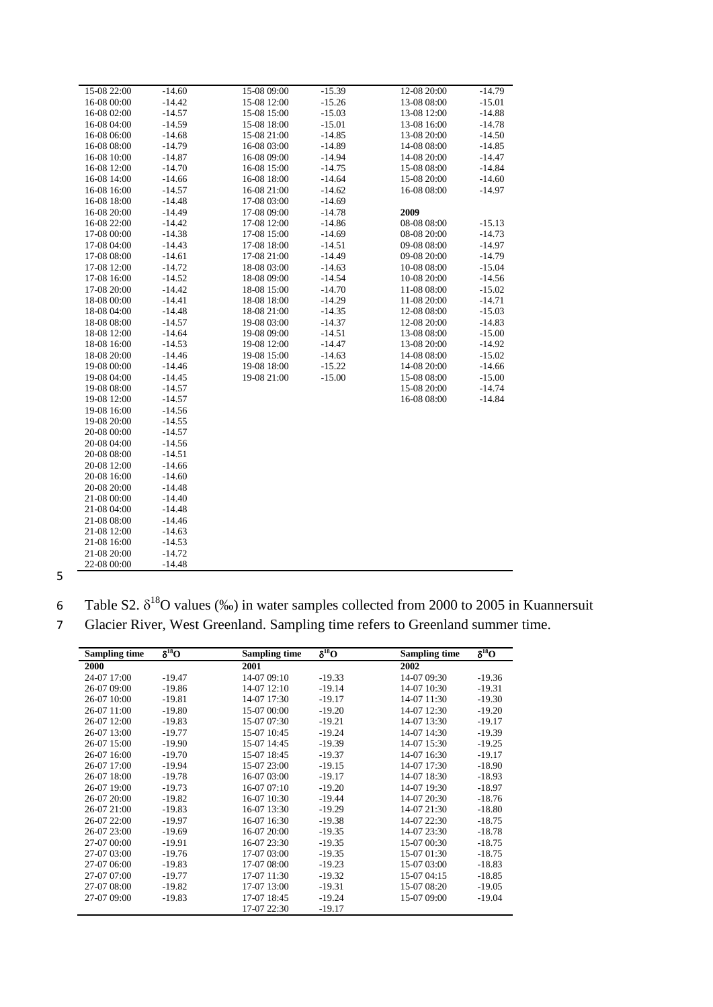| 15-08 22:00 | $-14.60$ | 15-08 09:00 | $-15.39$ | 12-08 20:00 | $-14.79$ |
|-------------|----------|-------------|----------|-------------|----------|
| 16-08 00:00 | $-14.42$ | 15-08 12:00 | $-15.26$ | 13-08 08:00 | $-15.01$ |
| 16-08 02:00 | $-14.57$ | 15-08 15:00 | $-15.03$ | 13-08 12:00 | $-14.88$ |
| 16-08 04:00 | $-14.59$ | 15-08 18:00 | $-15.01$ | 13-08 16:00 | $-14.78$ |
| 16-08 06:00 | $-14.68$ | 15-08 21:00 | $-14.85$ | 13-08 20:00 | $-14.50$ |
| 16-08 08:00 | $-14.79$ | 16-08 03:00 | $-14.89$ | 14-08 08:00 | $-14.85$ |
| 16-08 10:00 | $-14.87$ | 16-08 09:00 | $-14.94$ | 14-08 20:00 | $-14.47$ |
| 16-08 12:00 | $-14.70$ | 16-08 15:00 | $-14.75$ | 15-08 08:00 | $-14.84$ |
| 16-08 14:00 | $-14.66$ | 16-08 18:00 | $-14.64$ | 15-08 20:00 | $-14.60$ |
| 16-08 16:00 | $-14.57$ | 16-08 21:00 | $-14.62$ | 16-08 08:00 | $-14.97$ |
| 16-08 18:00 | $-14.48$ | 17-08 03:00 | $-14.69$ |             |          |
| 16-08 20:00 | $-14.49$ | 17-08 09:00 | $-14.78$ | 2009        |          |
| 16-08 22:00 | $-14.42$ | 17-08 12:00 | $-14.86$ | 08-08 08:00 | $-15.13$ |
| 17-08 00:00 | $-14.38$ | 17-08 15:00 | $-14.69$ | 08-08 20:00 | $-14.73$ |
| 17-08 04:00 | $-14.43$ | 17-08 18:00 | $-14.51$ | 09-08 08:00 | $-14.97$ |
| 17-08 08:00 | $-14.61$ | 17-08 21:00 | $-14.49$ | 09-08 20:00 | $-14.79$ |
| 17-08 12:00 | $-14.72$ | 18-08 03:00 | $-14.63$ | 10-08 08:00 | $-15.04$ |
| 17-08 16:00 | $-14.52$ | 18-08 09:00 | $-14.54$ | 10-08 20:00 | $-14.56$ |
| 17-08 20:00 | $-14.42$ | 18-08 15:00 | $-14.70$ | 11-08 08:00 | $-15.02$ |
| 18-08 00:00 | $-14.41$ | 18-08 18:00 | $-14.29$ | 11-08 20:00 | $-14.71$ |
| 18-08 04:00 | $-14.48$ | 18-08 21:00 | $-14.35$ | 12-08 08:00 | $-15.03$ |
| 18-08 08:00 | $-14.57$ | 19-08 03:00 | $-14.37$ | 12-08 20:00 | $-14.83$ |
| 18-08 12:00 | $-14.64$ | 19-08 09:00 | $-14.51$ | 13-08 08:00 | $-15.00$ |
| 18-08 16:00 | $-14.53$ | 19-08 12:00 | $-14.47$ | 13-08 20:00 | $-14.92$ |
| 18-08 20:00 | $-14.46$ | 19-08 15:00 | $-14.63$ | 14-08 08:00 | $-15.02$ |
| 19-08 00:00 | $-14.46$ | 19-08 18:00 | $-15.22$ | 14-08 20:00 | $-14.66$ |
| 19-08 04:00 | $-14.45$ | 19-08 21:00 | $-15.00$ | 15-08 08:00 | $-15.00$ |
| 19-08 08:00 | $-14.57$ |             |          | 15-08 20:00 | $-14.74$ |
| 19-08 12:00 | $-14.57$ |             |          | 16-08 08:00 | $-14.84$ |
| 19-08 16:00 | $-14.56$ |             |          |             |          |
| 19-08 20:00 | $-14.55$ |             |          |             |          |
| 20-08 00:00 | $-14.57$ |             |          |             |          |
| 20-08 04:00 | $-14.56$ |             |          |             |          |
| 20-08 08:00 | $-14.51$ |             |          |             |          |
| 20-08 12:00 | $-14.66$ |             |          |             |          |
| 20-08 16:00 | $-14.60$ |             |          |             |          |
| 20-08 20:00 | $-14.48$ |             |          |             |          |
| 21-08 00:00 | $-14.40$ |             |          |             |          |
| 21-08 04:00 | $-14.48$ |             |          |             |          |
| 21-08 08:00 | $-14.46$ |             |          |             |          |
| 21-08 12:00 | $-14.63$ |             |          |             |          |
| 21-08 16:00 | $-14.53$ |             |          |             |          |
| 21-08 20:00 | $-14.72$ |             |          |             |          |
| 22-08 00:00 | $-14.48$ |             |          |             |          |

5

| Table S2. $\delta^{18}$ O values (‰) in water samples collected from 2000 to 2005 in Kuannersuit |  |  |  |  |
|--------------------------------------------------------------------------------------------------|--|--|--|--|
|                                                                                                  |  |  |  |  |

7 Glacier River, West Greenland. Sampling time refers to Greenland summer time.

| <b>Sampling time</b> | $\delta^{18}O$ | <b>Sampling time</b> | $\delta^{18}O$ | <b>Sampling time</b> | $\delta^{18}O$ |
|----------------------|----------------|----------------------|----------------|----------------------|----------------|
| 2000                 |                | 2001                 |                | 2002                 |                |
| 24-07 17:00          | $-19.47$       | 14-07 09:10          | $-19.33$       | 14-07 09:30          | $-19.36$       |
| 26-07 09:00          | $-19.86$       | 14-07 12:10          | $-19.14$       | 14-07 10:30          | $-19.31$       |
| 26-07 10:00          | $-19.81$       | 14-07 17:30          | $-19.17$       | 14-07 11:30          | $-19.30$       |
| 26-07 11:00          | $-19.80$       | 15-07 00:00          | $-19.20$       | 14-07 12:30          | $-19.20$       |
| 26-07 12:00          | $-19.83$       | 15-07 07:30          | $-19.21$       | 14-07 13:30          | $-19.17$       |
| 26-07 13:00          | $-19.77$       | 15-07 10:45          | $-19.24$       | 14-07 14:30          | $-19.39$       |
| 26-07 15:00          | $-19.90$       | 15-07 14:45          | $-19.39$       | 14-07 15:30          | $-19.25$       |
| 26-07 16:00          | $-19.70$       | 15-07 18:45          | $-19.37$       | 14-07 16:30          | $-19.17$       |
| 26-07 17:00          | $-19.94$       | 15-07 23:00          | $-19.15$       | 14-07 17:30          | $-18.90$       |
| 26-07 18:00          | $-19.78$       | 16-07 03:00          | $-19.17$       | 14-07 18:30          | $-18.93$       |
| 26-07 19:00          | $-19.73$       | 16-07 07:10          | $-19.20$       | 14-07 19:30          | $-18.97$       |
| 26-07 20:00          | $-19.82$       | 16-07 10:30          | $-19.44$       | 14-07 20:30          | $-18.76$       |
| 26-07 21:00          | $-19.83$       | 16-07 13:30          | $-19.29$       | 14-07 21:30          | $-18.80$       |
| 26-07 22:00          | $-19.97$       | 16-07 16:30          | $-19.38$       | 14-07 22:30          | $-18.75$       |
| 26-07 23:00          | $-19.69$       | 16-07 20:00          | $-19.35$       | 14-07 23:30          | $-18.78$       |
| 27-07 00:00          | $-19.91$       | 16-07 23:30          | $-19.35$       | 15-07 00:30          | $-18.75$       |
| 27-07 03:00          | $-19.76$       | 17-07 03:00          | $-19.35$       | 15-07 01:30          | $-18.75$       |
| 27-07 06:00          | $-19.83$       | 17-07 08:00          | $-19.23$       | 15-07 03:00          | $-18.83$       |
| 27-07 07:00          | $-19.77$       | 17-07 11:30          | $-19.32$       | 15-07 04:15          | $-18.85$       |
| 27-07 08:00          | $-19.82$       | 17-07 13:00          | $-19.31$       | 15-07 08:20          | $-19.05$       |
| 27-07 09:00          | $-19.83$       | 17-07 18:45          | $-19.24$       | 15-07 09:00          | $-19.04$       |
|                      |                | 17-07 22:30          | $-19.17$       |                      |                |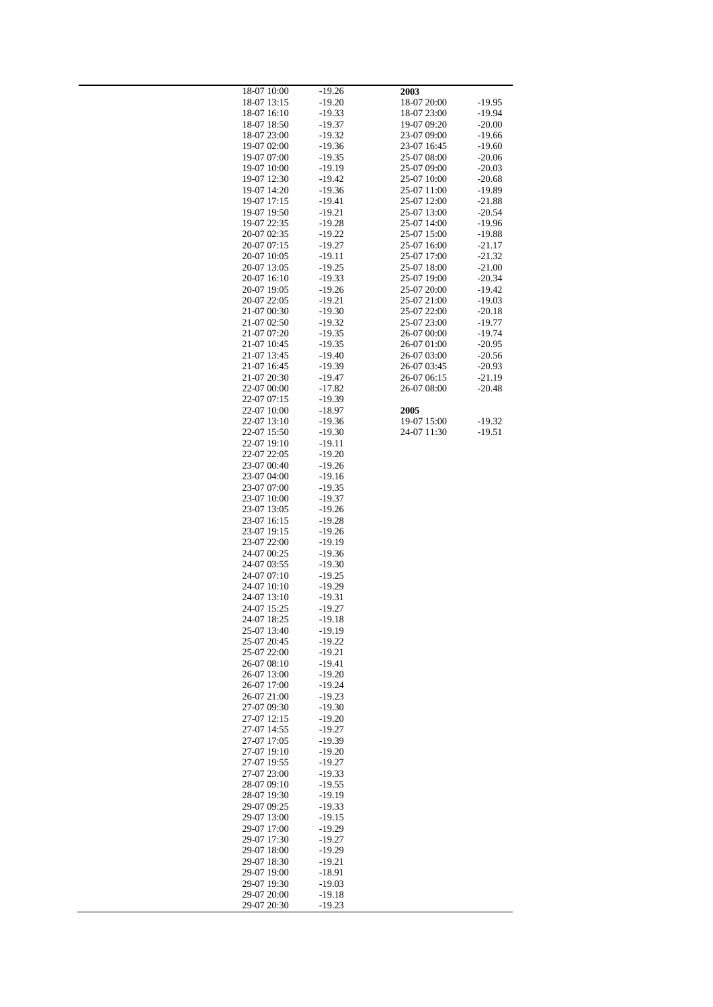| 18-07 10:00                | $-19.26$             | 2003                       |                      |
|----------------------------|----------------------|----------------------------|----------------------|
| 18-07 13:15                | $-19.20$             | 18-07 20:00                | -19.95               |
| 18-07 16:10                | $-19.33$             | 18-07 23:00                | $-19.94$             |
| 18-07 18:50                | $-19.37$             | 19-07 09:20                | $-20.00$             |
| 18-07 23:00<br>19-07 02:00 | $-19.32$<br>$-19.36$ | 23-07 09:00<br>23-07 16:45 | $-19.66$<br>$-19.60$ |
| 19-07 07:00                | $-19.35$             | 25-07 08:00                | $-20.06$             |
| 19-07 10:00                | $-19.19$             | 25-07 09:00                | $-20.03$             |
| 19-07 12:30                | $-19.42$             | 25-07 10:00                | $-20.68$             |
| 19-07 14:20                | $-19.36$             | 25-07 11:00                | $-19.89$             |
| 19-07 17:15                | $-19.41$             | 25-07 12:00                | $-21.88$             |
| 19-07 19:50                | $-19.21$             | 25-07 13:00                | $-20.54$             |
| 19-07 22:35                | $-19.28$             | 25-07 14:00                | $-19.96$             |
| 20-07 02:35                | $-19.22$             | 25-07 15:00                | $-19.88$             |
| 20-07 07:15<br>20-07 10:05 | $-19.27$<br>-19.11   | 25-07 16:00<br>25-07 17:00 | $-21.17$<br>$-21.32$ |
| 20-07 13:05                | $-19.25$             | 25-07 18:00                | $-21.00$             |
| 20-07 16:10                | $-19.33$             | 25-07 19:00                | $-20.34$             |
| 20-07 19:05                | $-19.26$             | 25-07 20:00                | $-19.42$             |
| 20-07 22:05                | $-19.21$             | 25-07 21:00                | $-19.03$             |
| 21-07 00:30                | $-19.30$             | 25-07 22:00                | $-20.18$             |
| 21-07 02:50                | $-19.32$             | 25-07 23:00                | $-19.77$             |
| 21-07 07:20                | $-19.35$             | 26-07 00:00                | $-19.74$             |
| 21-07 10:45                | $-19.35$             | 26-07 01:00                | $-20.95$             |
| 21-07 13:45                | $-19.40$             | 26-07 03:00<br>26-07 03:45 | $-20.56$             |
| 21-07 16:45<br>21-07 20:30 | $-19.39$<br>$-19.47$ | 26-07 06:15                | $-20.93$<br>$-21.19$ |
| 22-07 00:00                | $-17.82$             | 26-07 08:00                | $-20.48$             |
| 22-07 07:15                | $-19.39$             |                            |                      |
| 22-07 10:00                | $-18.97$             | 2005                       |                      |
| 22-07 13:10                | $-19.36$             | 19-07 15:00                | $-19.32$             |
| 22-07 15:50                | $-19.30$             | 24-07 11:30                | $-19.51$             |
| 22-07 19:10                | $-19.11$             |                            |                      |
| 22-07 22:05                | $-19.20$             |                            |                      |
| 23-07 00:40                | $-19.26$             |                            |                      |
| 23-07 04:00<br>23-07 07:00 | $-19.16$<br>$-19.35$ |                            |                      |
| 23-07 10:00                | $-19.37$             |                            |                      |
| 23-07 13:05                | $-19.26$             |                            |                      |
| 23-07 16:15                | $-19.28$             |                            |                      |
| 23-07 19:15                | $-19.26$             |                            |                      |
| 23-07 22:00                | $-19.19$             |                            |                      |
| 24-07 00:25                | $-19.36$             |                            |                      |
| 24-07 03:55                | $-19.30$             |                            |                      |
| 24-07 07:10                | $-19.25$<br>$-19.29$ |                            |                      |
| 24-07 10:10<br>24-07 13:10 | $-19.31$             |                            |                      |
| 24-07 15:25                | $-19.27$             |                            |                      |
| 24-07 18:25                | $-19.18$             |                            |                      |
| 25-07 13:40                | $-19.19$             |                            |                      |
| 25-07 20:45                | $-19.22$             |                            |                      |
| 25-07 22:00                | $-19.21$             |                            |                      |
| 26-07 08:10                | $-19.41$             |                            |                      |
| 26-07 13:00                | $-19.20$             |                            |                      |
| 26-07 17:00                | $-19.24$             |                            |                      |
| 26-07 21:00<br>27-07 09:30 | $-19.23$<br>$-19.30$ |                            |                      |
| 27-07 12:15                | $-19.20$             |                            |                      |
| 27-07 14:55                | $-19.27$             |                            |                      |
| 27-07 17:05                | $-19.39$             |                            |                      |
| 27-07 19:10                | $-19.20$             |                            |                      |
| 27-07 19:55                | $-19.27$             |                            |                      |
| 27-07 23:00                | $-19.33$             |                            |                      |
| 28-07 09:10                | $-19.55$             |                            |                      |
| 28-07 19:30                | $-19.19$             |                            |                      |
| 29-07 09:25<br>29-07 13:00 | $-19.33$<br>$-19.15$ |                            |                      |
| 29-07 17:00                | $-19.29$             |                            |                      |
| 29-07 17:30                | $-19.27$             |                            |                      |
| 29-07 18:00                | $-19.29$             |                            |                      |
| 29-07 18:30                | $-19.21$             |                            |                      |
| 29-07 19:00                | $-18.91$             |                            |                      |
| 29-07 19:30                | $-19.03$             |                            |                      |
| 29-07 20:00                | $-19.18$             |                            |                      |
| 29-07 20:30                | $-19.23$             |                            |                      |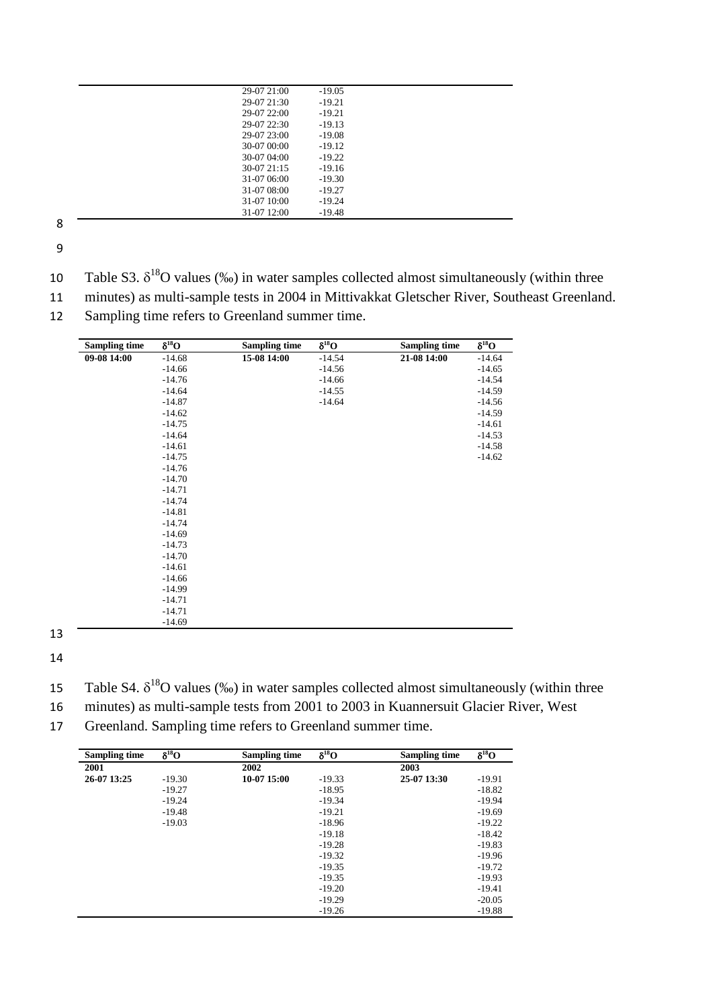| 29-07 21:00  | $-19.05$ |  |
|--------------|----------|--|
| 29-07 21:30  | $-19.21$ |  |
| 29-07 22:00  | $-19.21$ |  |
| 29-07 22:30  | $-19.13$ |  |
| 29-07 23:00  | $-19.08$ |  |
| 30-07 00:00  | $-19.12$ |  |
| 30-07 04:00  | $-19.22$ |  |
| $30-0721:15$ | $-19.16$ |  |
| 31-07 06:00  | $-19.30$ |  |
| 31-07 08:00  | $-19.27$ |  |
| 31-07 10:00  | $-19.24$ |  |
| 31-07 12:00  | $-19.48$ |  |
|              |          |  |

9

- 10 Table S3.  $\delta^{18}$ O values (‰) in water samples collected almost simultaneously (within three
- 11 minutes) as multi-sample tests in 2004 in Mittivakkat Gletscher River, Southeast Greenland.
- 12 Sampling time refers to Greenland summer time.

| <b>Sampling time</b> | $\delta^{18}O$ | <b>Sampling time</b> | $\delta^{18}O$ | <b>Sampling time</b> | $\delta^{18}O$ |
|----------------------|----------------|----------------------|----------------|----------------------|----------------|
| 09-08 14:00          | $-14.68$       | 15-08 14:00          | $-14.54$       | 21-08 14:00          | $-14.64$       |
|                      | $-14.66$       |                      | $-14.56$       |                      | $-14.65$       |
|                      | $-14.76$       |                      | $-14.66$       |                      | $-14.54$       |
|                      | $-14.64$       |                      | $-14.55$       |                      | $-14.59$       |
|                      | $-14.87$       |                      | $-14.64$       |                      | $-14.56$       |
|                      | $-14.62$       |                      |                |                      | $-14.59$       |
|                      | $-14.75$       |                      |                |                      | $-14.61$       |
|                      | $-14.64$       |                      |                |                      | $-14.53$       |
|                      | $-14.61$       |                      |                |                      | $-14.58$       |
|                      | $-14.75$       |                      |                |                      | $-14.62$       |
|                      | $-14.76$       |                      |                |                      |                |
|                      | $-14.70$       |                      |                |                      |                |
|                      | $-14.71$       |                      |                |                      |                |
|                      | $-14.74$       |                      |                |                      |                |
|                      | $-14.81$       |                      |                |                      |                |
|                      | $-14.74$       |                      |                |                      |                |
|                      | $-14.69$       |                      |                |                      |                |
|                      | $-14.73$       |                      |                |                      |                |
|                      | $-14.70$       |                      |                |                      |                |
|                      | $-14.61$       |                      |                |                      |                |
|                      | $-14.66$       |                      |                |                      |                |
|                      | $-14.99$       |                      |                |                      |                |
|                      | $-14.71$       |                      |                |                      |                |
|                      | $-14.71$       |                      |                |                      |                |
|                      | $-14.69$       |                      |                |                      |                |

13 14

- 15 Table S4.  $\delta^{18}O$  values (‰) in water samples collected almost simultaneously (within three
- 16 minutes) as multi-sample tests from 2001 to 2003 in Kuannersuit Glacier River, West
- 17 Greenland. Sampling time refers to Greenland summer time.

| <b>Sampling time</b> | $\delta^{18}O$ | <b>Sampling time</b> | $\delta^{18}O$ | <b>Sampling time</b> | $\delta^{18}O$ |
|----------------------|----------------|----------------------|----------------|----------------------|----------------|
| 2001                 |                | 2002                 |                | 2003                 |                |
| 26-07 13:25          | $-19.30$       | 10-07 15:00          | $-19.33$       | 25-07 13:30          | $-19.91$       |
|                      | $-19.27$       |                      | $-18.95$       |                      | $-18.82$       |
|                      | $-19.24$       |                      | $-19.34$       |                      | $-19.94$       |
|                      | $-19.48$       |                      | $-19.21$       |                      | $-19.69$       |
|                      | $-19.03$       |                      | $-18.96$       |                      | $-19.22$       |
|                      |                |                      | $-19.18$       |                      | $-18.42$       |
|                      |                |                      | $-19.28$       |                      | $-19.83$       |
|                      |                |                      | $-19.32$       |                      | $-19.96$       |
|                      |                |                      | $-19.35$       |                      | $-19.72$       |
|                      |                |                      | $-19.35$       |                      | $-19.93$       |
|                      |                |                      | $-19.20$       |                      | $-19.41$       |
|                      |                |                      | $-19.29$       |                      | $-20.05$       |
|                      |                |                      | $-19.26$       |                      | $-19.88$       |